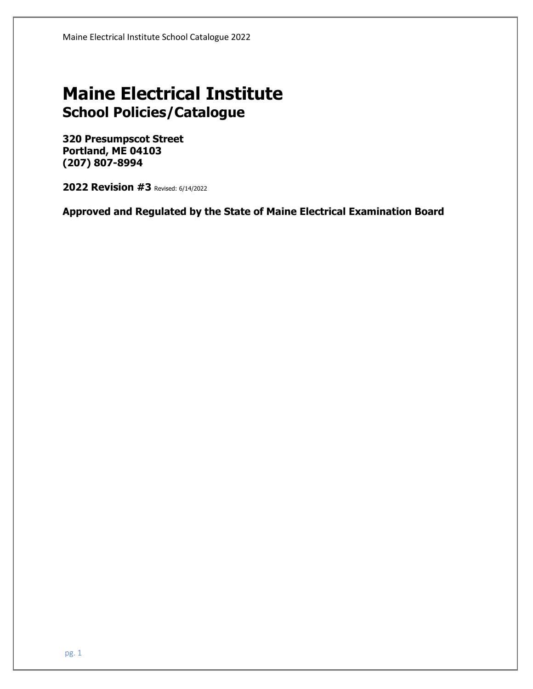# **Maine Electrical Institute School Policies/Catalogue**

**320 Presumpscot Street Portland, ME 04103 (207) 807-8994** 

**2022 Revision #3** Revised: 6/14/2022

**Approved and Regulated by the State of Maine Electrical Examination Board**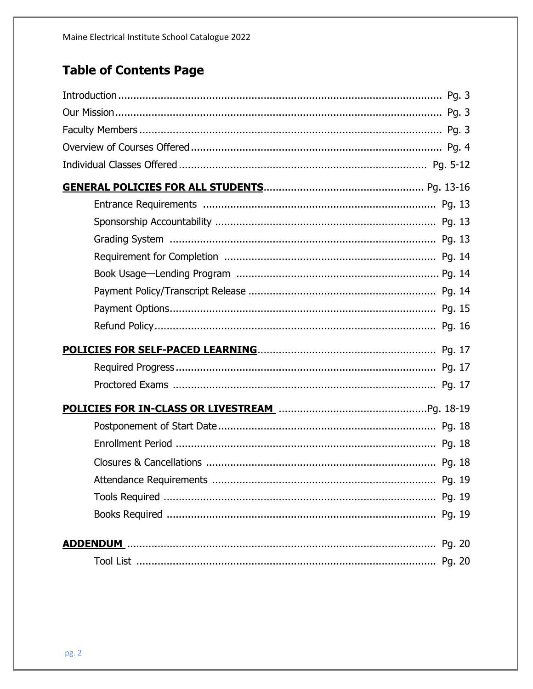# **Table of Contents Page**

| <b>POLICIES FOR IN-CLASS OR LIVESTREAM MACHIMAGE CONTROLLY CONTROLLY PO. 18-19</b> |
|------------------------------------------------------------------------------------|
|                                                                                    |
|                                                                                    |
|                                                                                    |
|                                                                                    |
|                                                                                    |
|                                                                                    |
|                                                                                    |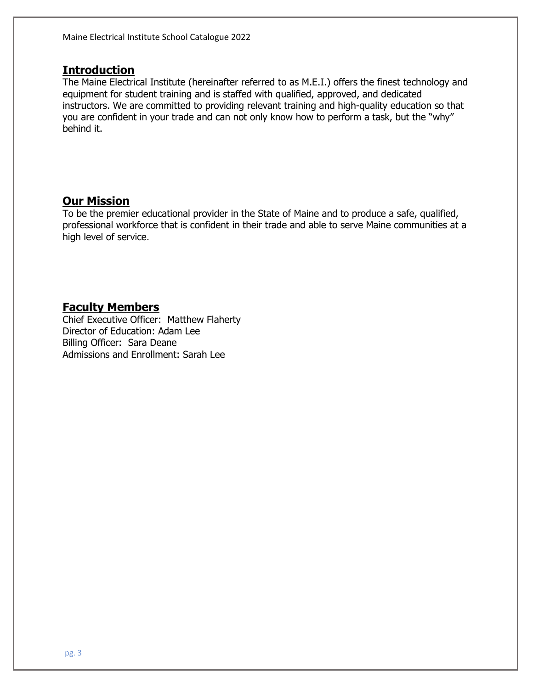## **Introduction**

The Maine Electrical Institute (hereinafter referred to as M.E.I.) offers the finest technology and equipment for student training and is staffed with qualified, approved, and dedicated instructors. We are committed to providing relevant training and high-quality education so that you are confident in your trade and can not only know how to perform a task, but the "why" behind it.

## **Our Mission**

To be the premier educational provider in the State of Maine and to produce a safe, qualified, professional workforce that is confident in their trade and able to serve Maine communities at a high level of service.

## **Faculty Members**

Chief Executive Officer: Matthew Flaherty Director of Education: Adam Lee Billing Officer: Sara Deane Admissions and Enrollment: Sarah Lee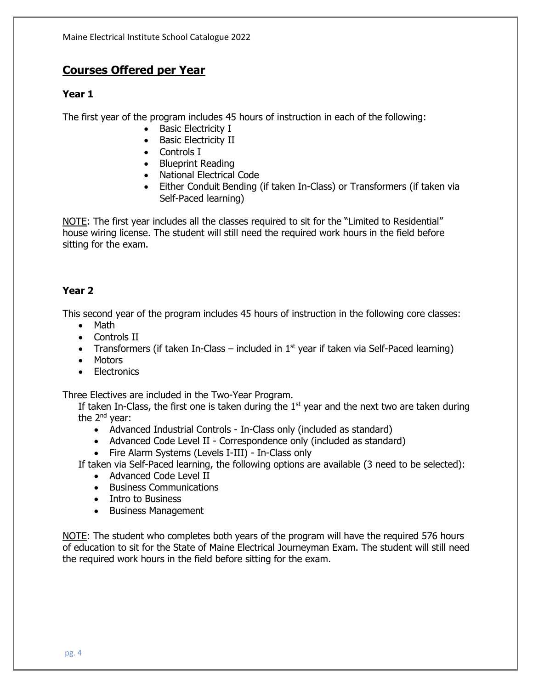## **Courses Offered per Year**

## **Year 1**

The first year of the program includes 45 hours of instruction in each of the following:

- Basic Electricity I
- Basic Electricity II
- Controls I
- Blueprint Reading
- National Electrical Code
- Either Conduit Bending (if taken In-Class) or Transformers (if taken via Self-Paced learning)

NOTE: The first year includes all the classes required to sit for the "Limited to Residential" house wiring license. The student will still need the required work hours in the field before sitting for the exam.

## **Year 2**

This second year of the program includes 45 hours of instruction in the following core classes:

- Math
- Controls II
- Transformers (if taken In-Class included in  $1<sup>st</sup>$  year if taken via Self-Paced learning)
- Motors
- Electronics

Three Electives are included in the Two-Year Program.

If taken In-Class, the first one is taken during the  $1<sup>st</sup>$  year and the next two are taken during the 2<sup>nd</sup> year:

- Advanced Industrial Controls In-Class only (included as standard)
- Advanced Code Level II Correspondence only (included as standard)
- Fire Alarm Systems (Levels I-III) In-Class only

If taken via Self-Paced learning, the following options are available (3 need to be selected):

- Advanced Code Level II
- Business Communications
- Intro to Business
- Business Management

NOTE: The student who completes both years of the program will have the required 576 hours of education to sit for the State of Maine Electrical Journeyman Exam. The student will still need the required work hours in the field before sitting for the exam.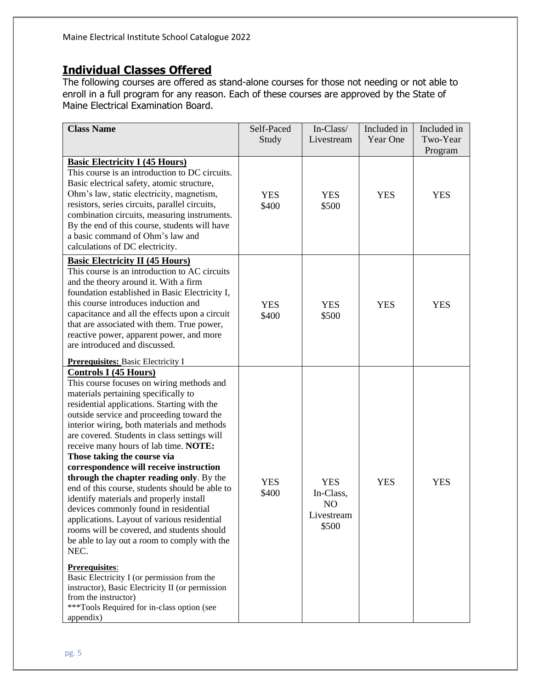# **Individual Classes Offered**

The following courses are offered as stand-alone courses for those not needing or not able to enroll in a full program for any reason. Each of these courses are approved by the State of Maine Electrical Examination Board.

| <b>Class Name</b>                                                                                                                                                                                                                                                                                                                                                                                                                                                                                                                                                                                                                                                                                                                                                                                                                                                                                                                                                                                                                  | Self-Paced<br>Study | In-Class/<br>Livestream                                                      | Included in<br>Year One | Included in<br>Two-Year<br>Program |
|------------------------------------------------------------------------------------------------------------------------------------------------------------------------------------------------------------------------------------------------------------------------------------------------------------------------------------------------------------------------------------------------------------------------------------------------------------------------------------------------------------------------------------------------------------------------------------------------------------------------------------------------------------------------------------------------------------------------------------------------------------------------------------------------------------------------------------------------------------------------------------------------------------------------------------------------------------------------------------------------------------------------------------|---------------------|------------------------------------------------------------------------------|-------------------------|------------------------------------|
| <b>Basic Electricity I (45 Hours)</b><br>This course is an introduction to DC circuits.<br>Basic electrical safety, atomic structure,<br>Ohm's law, static electricity, magnetism,<br>resistors, series circuits, parallel circuits,<br>combination circuits, measuring instruments.<br>By the end of this course, students will have<br>a basic command of Ohm's law and<br>calculations of DC electricity.                                                                                                                                                                                                                                                                                                                                                                                                                                                                                                                                                                                                                       | <b>YES</b><br>\$400 | <b>YES</b><br>\$500                                                          | <b>YES</b>              | <b>YES</b>                         |
| <b>Basic Electricity II (45 Hours)</b><br>This course is an introduction to AC circuits<br>and the theory around it. With a firm<br>foundation established in Basic Electricity I,<br>this course introduces induction and<br>capacitance and all the effects upon a circuit<br>that are associated with them. True power,<br>reactive power, apparent power, and more<br>are introduced and discussed.                                                                                                                                                                                                                                                                                                                                                                                                                                                                                                                                                                                                                            | <b>YES</b><br>\$400 | <b>YES</b><br>\$500                                                          | <b>YES</b>              | <b>YES</b>                         |
| <b>Prerequisites: Basic Electricity I</b><br><b>Controls I (45 Hours)</b><br>This course focuses on wiring methods and<br>materials pertaining specifically to<br>residential applications. Starting with the<br>outside service and proceeding toward the<br>interior wiring, both materials and methods<br>are covered. Students in class settings will<br>receive many hours of lab time. NOTE:<br>Those taking the course via<br>correspondence will receive instruction<br>through the chapter reading only. By the<br>end of this course, students should be able to<br>identify materials and properly install<br>devices commonly found in residential<br>applications. Layout of various residential<br>rooms will be covered, and students should<br>be able to lay out a room to comply with the<br>NEC.<br><b>Prerequisites:</b><br>Basic Electricity I (or permission from the<br>instructor), Basic Electricity II (or permission<br>from the instructor)<br>***Tools Required for in-class option (see<br>appendix) | <b>YES</b><br>\$400 | <b>YES</b><br>In-Class,<br>N <sub>O</sub><br><b>.</b><br>Livestream<br>\$500 | <b>YES</b>              | <b>YES</b>                         |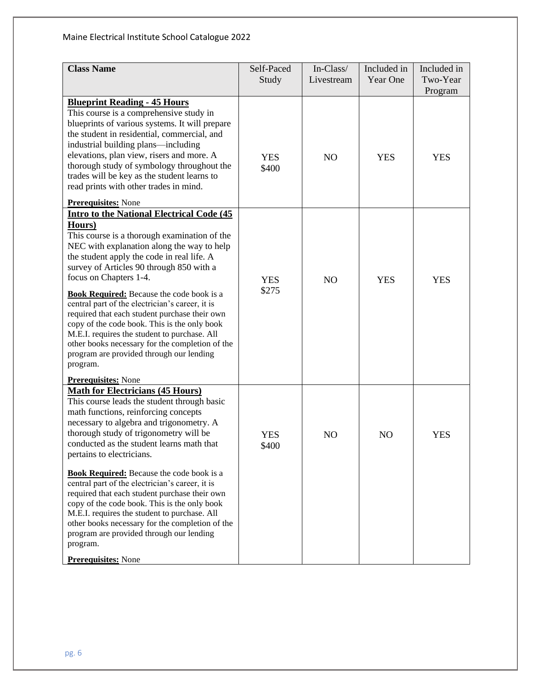| <b>Class Name</b>                                                                                                                                                                                                                                                                                                                                                                                                                                                                                                                                                                                                                                                                                                             | Self-Paced<br>Study | In-Class/<br>Livestream | Included in<br>Year One | Included in<br>Two-Year<br>Program |
|-------------------------------------------------------------------------------------------------------------------------------------------------------------------------------------------------------------------------------------------------------------------------------------------------------------------------------------------------------------------------------------------------------------------------------------------------------------------------------------------------------------------------------------------------------------------------------------------------------------------------------------------------------------------------------------------------------------------------------|---------------------|-------------------------|-------------------------|------------------------------------|
| <b>Blueprint Reading - 45 Hours</b><br>This course is a comprehensive study in<br>blueprints of various systems. It will prepare<br>the student in residential, commercial, and<br>industrial building plans—including<br>elevations, plan view, risers and more. A<br>thorough study of symbology throughout the<br>trades will be key as the student learns to<br>read prints with other trades in mind.                                                                                                                                                                                                                                                                                                                    | <b>YES</b><br>\$400 | NO                      | <b>YES</b>              | <b>YES</b>                         |
| <b>Prerequisites:</b> None<br><b>Intro to the National Electrical Code (45</b><br>Hours)<br>This course is a thorough examination of the<br>NEC with explanation along the way to help<br>the student apply the code in real life. A<br>survey of Articles 90 through 850 with a<br>focus on Chapters 1-4.<br><b>Book Required:</b> Because the code book is a<br>central part of the electrician's career, it is<br>required that each student purchase their own<br>copy of the code book. This is the only book<br>M.E.I. requires the student to purchase. All<br>other books necessary for the completion of the<br>program are provided through our lending<br>program.                                                 | <b>YES</b><br>\$275 | NO                      | <b>YES</b>              | <b>YES</b>                         |
| <b>Prerequisites:</b> None<br><b>Math for Electricians (45 Hours)</b><br>This course leads the student through basic<br>math functions, reinforcing concepts<br>necessary to algebra and trigonometry. A<br>thorough study of trigonometry will be<br>conducted as the student learns math that<br>pertains to electricians.<br><b>Book Required:</b> Because the code book is a<br>central part of the electrician's career, it is<br>required that each student purchase their own<br>copy of the code book. This is the only book<br>M.E.I. requires the student to purchase. All<br>other books necessary for the completion of the<br>program are provided through our lending<br>program.<br><b>Prerequisites:</b> None | <b>YES</b><br>\$400 | NO                      | N <sub>O</sub>          | <b>YES</b>                         |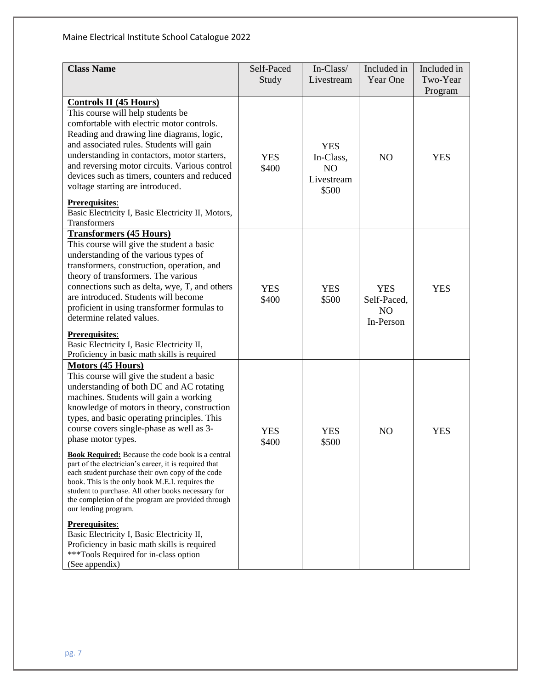| <b>Class Name</b>                                                                                                                                                                                                                                                                                                                                                                                                                                                                                                                                                                                                                                                                                                                                             | Self-Paced<br>Study | In-Class/<br>Livestream                                          | Included in<br>Year One                                  | Included in<br>Two-Year<br>Program |
|---------------------------------------------------------------------------------------------------------------------------------------------------------------------------------------------------------------------------------------------------------------------------------------------------------------------------------------------------------------------------------------------------------------------------------------------------------------------------------------------------------------------------------------------------------------------------------------------------------------------------------------------------------------------------------------------------------------------------------------------------------------|---------------------|------------------------------------------------------------------|----------------------------------------------------------|------------------------------------|
| <b>Controls II (45 Hours)</b><br>This course will help students be<br>comfortable with electric motor controls.<br>Reading and drawing line diagrams, logic,<br>and associated rules. Students will gain<br>understanding in contactors, motor starters,<br>and reversing motor circuits. Various control<br>devices such as timers, counters and reduced<br>voltage starting are introduced.<br>Prerequisites:<br>Basic Electricity I, Basic Electricity II, Motors,<br>Transformers                                                                                                                                                                                                                                                                         | <b>YES</b><br>\$400 | <b>YES</b><br>In-Class,<br>N <sub>O</sub><br>Livestream<br>\$500 | NO                                                       | <b>YES</b>                         |
| <b>Transformers (45 Hours)</b><br>This course will give the student a basic<br>understanding of the various types of<br>transformers, construction, operation, and<br>theory of transformers. The various<br>connections such as delta, wye, T, and others<br>are introduced. Students will become<br>proficient in using transformer formulas to<br>determine related values.<br><b>Prerequisites:</b><br>Basic Electricity I, Basic Electricity II,                                                                                                                                                                                                                                                                                                         | <b>YES</b><br>\$400 | <b>YES</b><br>\$500                                              | <b>YES</b><br>Self-Paced,<br>N <sub>O</sub><br>In-Person | <b>YES</b>                         |
| Proficiency in basic math skills is required<br><b>Motors (45 Hours)</b><br>This course will give the student a basic<br>understanding of both DC and AC rotating<br>machines. Students will gain a working<br>knowledge of motors in theory, construction<br>types, and basic operating principles. This<br>course covers single-phase as well as 3-<br>phase motor types.<br><b>Book Required:</b> Because the code book is a central<br>part of the electrician's career, it is required that<br>each student purchase their own copy of the code<br>book. This is the only book M.E.I. requires the<br>student to purchase. All other books necessary for<br>the completion of the program are provided through<br>our lending program.<br>Prerequisites: | <b>YES</b><br>\$400 | <b>YES</b><br>\$500                                              | N <sub>O</sub>                                           | <b>YES</b>                         |
| Basic Electricity I, Basic Electricity II,<br>Proficiency in basic math skills is required<br>***Tools Required for in-class option<br>(See appendix)                                                                                                                                                                                                                                                                                                                                                                                                                                                                                                                                                                                                         |                     |                                                                  |                                                          |                                    |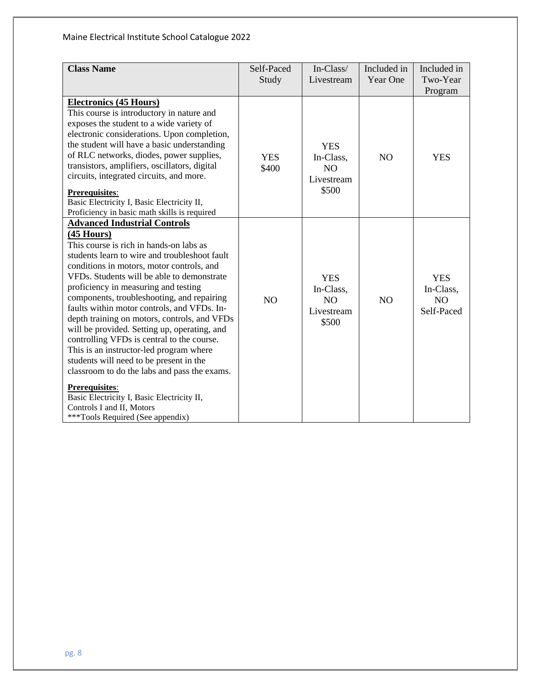| <b>Class Name</b>                                                                                                                                                                                                                                                                                                                                                                                                                                                                                                                                                                                                                                                                                                                                                                                           | Self-Paced<br>Study | In-Class/<br>Livestream                                          | Included in<br>Year One | Included in<br>Two-Year<br>Program          |
|-------------------------------------------------------------------------------------------------------------------------------------------------------------------------------------------------------------------------------------------------------------------------------------------------------------------------------------------------------------------------------------------------------------------------------------------------------------------------------------------------------------------------------------------------------------------------------------------------------------------------------------------------------------------------------------------------------------------------------------------------------------------------------------------------------------|---------------------|------------------------------------------------------------------|-------------------------|---------------------------------------------|
| <b>Electronics (45 Hours)</b><br>This course is introductory in nature and<br>exposes the student to a wide variety of<br>electronic considerations. Upon completion,<br>the student will have a basic understanding<br>of RLC networks, diodes, power supplies,<br>transistors, amplifiers, oscillators, digital<br>circuits, integrated circuits, and more.<br><b>Prerequisites:</b><br>Basic Electricity I, Basic Electricity II,<br>Proficiency in basic math skills is required                                                                                                                                                                                                                                                                                                                        | <b>YES</b><br>\$400 | <b>YES</b><br>In-Class,<br>N <sub>O</sub><br>Livestream<br>\$500 | NO                      | <b>YES</b>                                  |
| <b>Advanced Industrial Controls</b><br>$(45$ Hours)<br>This course is rich in hands-on labs as<br>students learn to wire and troubleshoot fault<br>conditions in motors, motor controls, and<br>VFDs. Students will be able to demonstrate<br>proficiency in measuring and testing<br>components, troubleshooting, and repairing<br>faults within motor controls, and VFDs. In-<br>depth training on motors, controls, and VFDs<br>will be provided. Setting up, operating, and<br>controlling VFDs is central to the course.<br>This is an instructor-led program where<br>students will need to be present in the<br>classroom to do the labs and pass the exams.<br><b>Prerequisites:</b><br>Basic Electricity I, Basic Electricity II,<br>Controls I and II, Motors<br>***Tools Required (See appendix) | NO                  | <b>YES</b><br>In-Class,<br>NO<br>Livestream<br>\$500             | N <sub>O</sub>          | <b>YES</b><br>In-Class,<br>NO<br>Self-Paced |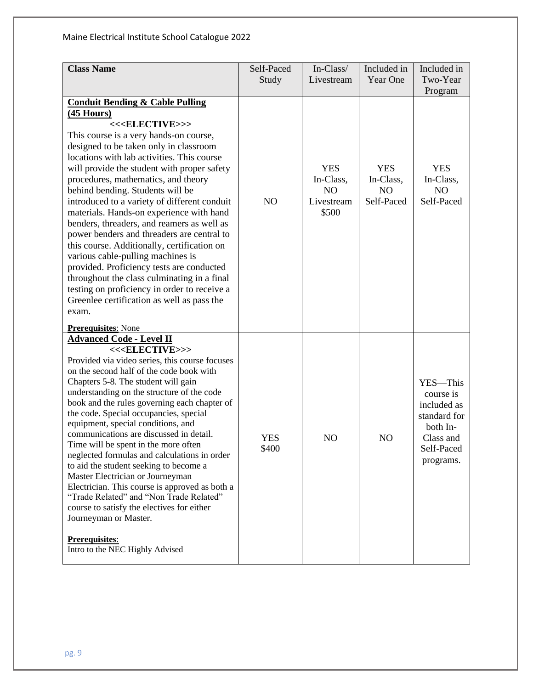| <b>Class Name</b>                                                                                                                                                                                                                                                                                                                                                                                                                                                                                                                                                                                                                                                                                                                                                                                                                                                                              | Self-Paced<br>Study | In-Class/<br>Livestream                                          | Included in<br>Year One                                 | Included in<br>Two-Year<br>Program                                                                       |
|------------------------------------------------------------------------------------------------------------------------------------------------------------------------------------------------------------------------------------------------------------------------------------------------------------------------------------------------------------------------------------------------------------------------------------------------------------------------------------------------------------------------------------------------------------------------------------------------------------------------------------------------------------------------------------------------------------------------------------------------------------------------------------------------------------------------------------------------------------------------------------------------|---------------------|------------------------------------------------------------------|---------------------------------------------------------|----------------------------------------------------------------------------------------------------------|
| <b>Conduit Bending &amp; Cable Pulling</b><br><u>(45 Hours)</u><br><< <elective>&gt;&gt;<br/>This course is a very hands-on course,<br/>designed to be taken only in classroom<br/>locations with lab activities. This course<br/>will provide the student with proper safety<br/>procedures, mathematics, and theory<br/>behind bending. Students will be<br/>introduced to a variety of different conduit<br/>materials. Hands-on experience with hand<br/>benders, threaders, and reamers as well as<br/>power benders and threaders are central to<br/>this course. Additionally, certification on<br/>various cable-pulling machines is<br/>provided. Proficiency tests are conducted<br/>throughout the class culminating in a final<br/>testing on proficiency in order to receive a<br/>Greenlee certification as well as pass the<br/>exam.<br/><b>Prerequisites:</b> None</elective> | N <sub>O</sub>      | <b>YES</b><br>In-Class,<br>N <sub>O</sub><br>Livestream<br>\$500 | <b>YES</b><br>In-Class,<br>N <sub>O</sub><br>Self-Paced | <b>YES</b><br>In-Class,<br>NO<br>Self-Paced                                                              |
| <b>Advanced Code - Level II</b><br><< <elective>&gt;&gt;<br/>Provided via video series, this course focuses<br/>on the second half of the code book with<br/>Chapters 5-8. The student will gain<br/>understanding on the structure of the code<br/>book and the rules governing each chapter of<br/>the code. Special occupancies, special<br/>equipment, special conditions, and<br/>communications are discussed in detail.<br/>Time will be spent in the more often<br/>neglected formulas and calculations in order<br/>to aid the student seeking to become a<br/>Master Electrician or Journeyman<br/>Electrician. This course is approved as both a<br/>"Trade Related" and "Non Trade Related"<br/>course to satisfy the electives for either<br/>Journeyman or Master.<br/>Prerequisites:<br/>Intro to the NEC Highly Advised</elective>                                             | <b>YES</b><br>\$400 | N <sub>O</sub>                                                   | N <sub>O</sub>                                          | YES-This<br>course is<br>included as<br>standard for<br>both In-<br>Class and<br>Self-Paced<br>programs. |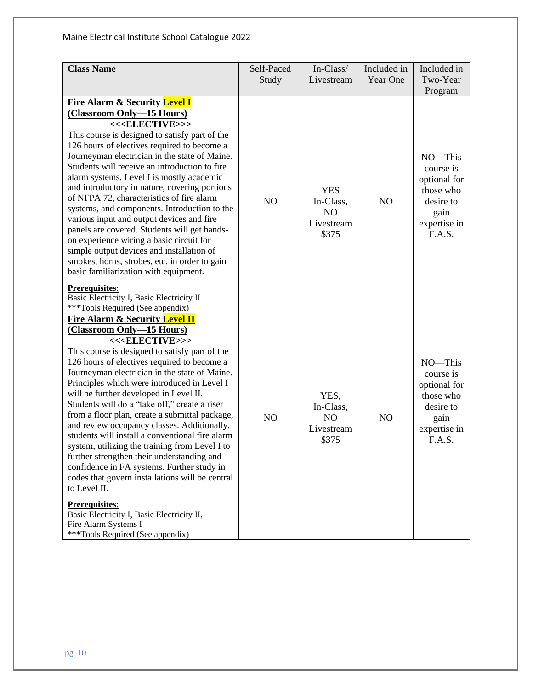| <b>Class Name</b>                                                                                                                                                                                                                                                                                                                                                                                                                                                                                                                                                                                                                                                                                                                                                                                                                                                                                                                                             | Self-Paced<br>Study | In-Class/<br>Livestream                                          | Included in<br>Year One | Included in<br>Two-Year<br>Program                                                               |
|---------------------------------------------------------------------------------------------------------------------------------------------------------------------------------------------------------------------------------------------------------------------------------------------------------------------------------------------------------------------------------------------------------------------------------------------------------------------------------------------------------------------------------------------------------------------------------------------------------------------------------------------------------------------------------------------------------------------------------------------------------------------------------------------------------------------------------------------------------------------------------------------------------------------------------------------------------------|---------------------|------------------------------------------------------------------|-------------------------|--------------------------------------------------------------------------------------------------|
| <b>Fire Alarm &amp; Security Level I</b><br>(Classroom Only-15 Hours)<br><< <elective>&gt;&gt;<br/>This course is designed to satisfy part of the<br/>126 hours of electives required to become a<br/>Journeyman electrician in the state of Maine.<br/>Students will receive an introduction to fire<br/>alarm systems. Level I is mostly academic<br/>and introductory in nature, covering portions<br/>of NFPA 72, characteristics of fire alarm<br/>systems, and components. Introduction to the<br/>various input and output devices and fire<br/>panels are covered. Students will get hands-<br/>on experience wiring a basic circuit for<br/>simple output devices and installation of<br/>smokes, horns, strobes, etc. in order to gain<br/>basic familiarization with equipment.<br/><b>Prerequisites:</b><br/>Basic Electricity I, Basic Electricity II</elective>                                                                                 | NO                  | <b>YES</b><br>In-Class,<br>N <sub>O</sub><br>Livestream<br>\$375 | N <sub>O</sub>          | NO-This<br>course is<br>optional for<br>those who<br>desire to<br>gain<br>expertise in<br>F.A.S. |
| ***Tools Required (See appendix)<br><b>Fire Alarm &amp; Security Level II</b><br>(Classroom Only-15 Hours)<br><< <elective>&gt;&gt;<br/>This course is designed to satisfy part of the<br/>126 hours of electives required to become a<br/>Journeyman electrician in the state of Maine.<br/>Principles which were introduced in Level I<br/>will be further developed in Level II.<br/>Students will do a "take off," create a riser<br/>from a floor plan, create a submittal package,<br/>and review occupancy classes. Additionally,<br/>students will install a conventional fire alarm<br/>system, utilizing the training from Level I to<br/>further strengthen their understanding and<br/>confidence in FA systems. Further study in<br/>codes that govern installations will be central<br/>to Level II.<br/>Prerequisites:<br/>Basic Electricity I, Basic Electricity II,<br/>Fire Alarm Systems I<br/>***Tools Required (See appendix)</elective> | NO                  | YES,<br>In-Class,<br>N <sub>O</sub><br>Livestream<br>\$375       | N <sub>O</sub>          | NO-This<br>course is<br>optional for<br>those who<br>desire to<br>gain<br>expertise in<br>F.A.S. |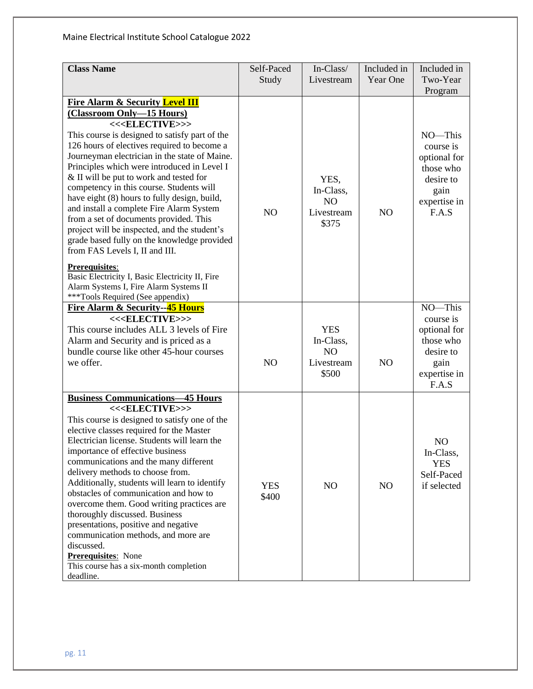| <b>Class Name</b>                                                                                                                                                                                                                                                                                                                                                                                                                                                                                                                                                                                                                                                                                                                                                                                                   | Self-Paced<br>Study | In-Class/<br>Livestream                                          | Included in<br>Year One | Included in<br>Two-Year<br>Program                                                              |
|---------------------------------------------------------------------------------------------------------------------------------------------------------------------------------------------------------------------------------------------------------------------------------------------------------------------------------------------------------------------------------------------------------------------------------------------------------------------------------------------------------------------------------------------------------------------------------------------------------------------------------------------------------------------------------------------------------------------------------------------------------------------------------------------------------------------|---------------------|------------------------------------------------------------------|-------------------------|-------------------------------------------------------------------------------------------------|
| <b>Fire Alarm &amp; Security Level III</b><br>(Classroom Only-15 Hours)<br><< <elective>&gt;&gt;<br/>This course is designed to satisfy part of the<br/>126 hours of electives required to become a<br/>Journeyman electrician in the state of Maine.<br/>Principles which were introduced in Level I<br/>&amp; II will be put to work and tested for<br/>competency in this course. Students will<br/>have eight (8) hours to fully design, build,<br/>and install a complete Fire Alarm System<br/>from a set of documents provided. This<br/>project will be inspected, and the student's<br/>grade based fully on the knowledge provided<br/>from FAS Levels I, II and III.<br/><b>Prerequisites:</b><br/>Basic Electricity I, Basic Electricity II, Fire<br/>Alarm Systems I, Fire Alarm Systems II</elective> | N <sub>O</sub>      | YES,<br>In-Class,<br>N <sub>O</sub><br>Livestream<br>\$375       | N <sub>O</sub>          | NO-This<br>course is<br>optional for<br>those who<br>desire to<br>gain<br>expertise in<br>F.A.S |
| ***Tools Required (See appendix)<br><b>Fire Alarm &amp; Security--45 Hours</b><br><< <elective>&gt;&gt;<br/>This course includes ALL 3 levels of Fire<br/>Alarm and Security and is priced as a<br/>bundle course like other 45-hour courses<br/>we offer.</elective>                                                                                                                                                                                                                                                                                                                                                                                                                                                                                                                                               | NO                  | <b>YES</b><br>In-Class,<br>N <sub>O</sub><br>Livestream<br>\$500 | NO                      | NO-This<br>course is<br>optional for<br>those who<br>desire to<br>gain<br>expertise in<br>F.A.S |
| <b>Business Communications-45 Hours</b><br><< <elective>&gt;&gt;<br/>This course is designed to satisfy one of the<br/>elective classes required for the Master<br/>Electrician license. Students will learn the<br/>importance of effective business<br/>communications and the many different<br/>delivery methods to choose from.<br/>Additionally, students will learn to identify<br/>obstacles of communication and how to<br/>overcome them. Good writing practices are<br/>thoroughly discussed. Business<br/>presentations, positive and negative<br/>communication methods, and more are<br/>discussed.<br/><b>Prerequisites:</b> None<br/>This course has a six-month completion<br/>deadline.</elective>                                                                                                | <b>YES</b><br>\$400 | N <sub>O</sub>                                                   | N <sub>O</sub>          | N <sub>O</sub><br>In-Class,<br><b>YES</b><br>Self-Paced<br>if selected                          |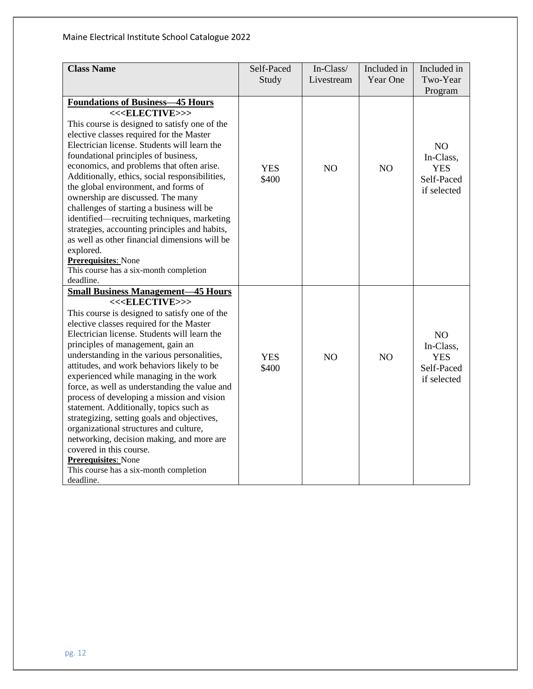| <b>Class Name</b>                                                                              | Self-Paced | In-Class/      | Included in    | Included in         |
|------------------------------------------------------------------------------------------------|------------|----------------|----------------|---------------------|
|                                                                                                | Study      | Livestream     | Year One       | Two-Year<br>Program |
| <b>Foundations of Business-45 Hours</b>                                                        |            |                |                |                     |
| << <elective>&gt;&gt;</elective>                                                               |            |                |                |                     |
| This course is designed to satisfy one of the                                                  |            |                |                |                     |
| elective classes required for the Master                                                       |            |                |                |                     |
| Electrician license. Students will learn the                                                   |            |                |                | NO                  |
| foundational principles of business,                                                           |            |                |                | In-Class,           |
| economics, and problems that often arise.                                                      | <b>YES</b> | N <sub>O</sub> | N <sub>O</sub> | <b>YES</b>          |
| Additionally, ethics, social responsibilities,                                                 | \$400      |                |                | Self-Paced          |
| the global environment, and forms of                                                           |            |                |                | if selected         |
| ownership are discussed. The many                                                              |            |                |                |                     |
| challenges of starting a business will be                                                      |            |                |                |                     |
| identified—recruiting techniques, marketing                                                    |            |                |                |                     |
| strategies, accounting principles and habits,<br>as well as other financial dimensions will be |            |                |                |                     |
| explored.                                                                                      |            |                |                |                     |
| <b>Prerequisites:</b> None                                                                     |            |                |                |                     |
| This course has a six-month completion                                                         |            |                |                |                     |
| deadline.                                                                                      |            |                |                |                     |
| <b>Small Business Management-45 Hours</b>                                                      |            |                |                |                     |
| << <elective>&gt;&gt;</elective>                                                               |            |                |                |                     |
| This course is designed to satisfy one of the                                                  |            |                |                |                     |
| elective classes required for the Master                                                       |            |                |                |                     |
| Electrician license. Students will learn the                                                   |            |                |                | N <sub>O</sub>      |
| principles of management, gain an                                                              |            |                |                | In-Class,           |
| understanding in the various personalities,                                                    | <b>YES</b> | N <sub>O</sub> | NO             | <b>YES</b>          |
| attitudes, and work behaviors likely to be                                                     | \$400      |                |                | Self-Paced          |
| experienced while managing in the work                                                         |            |                |                | if selected         |
| force, as well as understanding the value and                                                  |            |                |                |                     |
| process of developing a mission and vision                                                     |            |                |                |                     |
| statement. Additionally, topics such as                                                        |            |                |                |                     |
| strategizing, setting goals and objectives,                                                    |            |                |                |                     |
| organizational structures and culture,                                                         |            |                |                |                     |
| networking, decision making, and more are<br>covered in this course.                           |            |                |                |                     |
| <b>Prerequisites:</b> None                                                                     |            |                |                |                     |
| This course has a six-month completion                                                         |            |                |                |                     |
| deadline.                                                                                      |            |                |                |                     |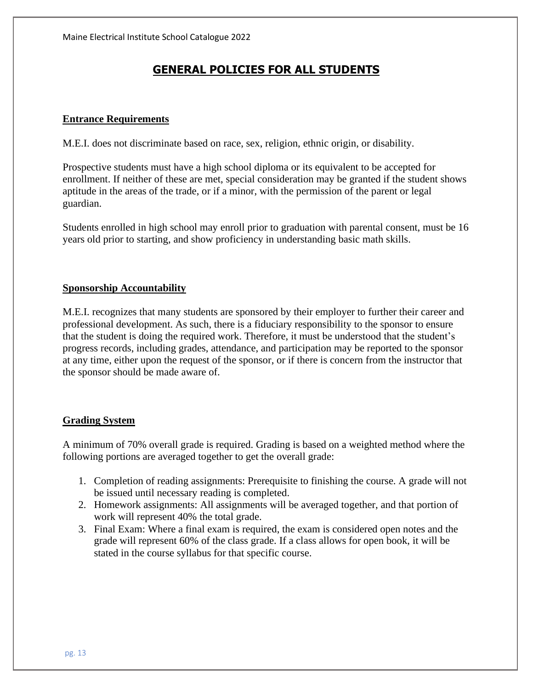## **GENERAL POLICIES FOR ALL STUDENTS**

### **Entrance Requirements**

M.E.I. does not discriminate based on race, sex, religion, ethnic origin, or disability.

Prospective students must have a high school diploma or its equivalent to be accepted for enrollment. If neither of these are met, special consideration may be granted if the student shows aptitude in the areas of the trade, or if a minor, with the permission of the parent or legal guardian.

Students enrolled in high school may enroll prior to graduation with parental consent, must be 16 years old prior to starting, and show proficiency in understanding basic math skills.

## **Sponsorship Accountability**

M.E.I. recognizes that many students are sponsored by their employer to further their career and professional development. As such, there is a fiduciary responsibility to the sponsor to ensure that the student is doing the required work. Therefore, it must be understood that the student's progress records, including grades, attendance, and participation may be reported to the sponsor at any time, either upon the request of the sponsor, or if there is concern from the instructor that the sponsor should be made aware of.

### **Grading System**

A minimum of 70% overall grade is required. Grading is based on a weighted method where the following portions are averaged together to get the overall grade:

- 1. Completion of reading assignments: Prerequisite to finishing the course. A grade will not be issued until necessary reading is completed.
- 2. Homework assignments: All assignments will be averaged together, and that portion of work will represent 40% the total grade.
- 3. Final Exam: Where a final exam is required, the exam is considered open notes and the grade will represent 60% of the class grade. If a class allows for open book, it will be stated in the course syllabus for that specific course.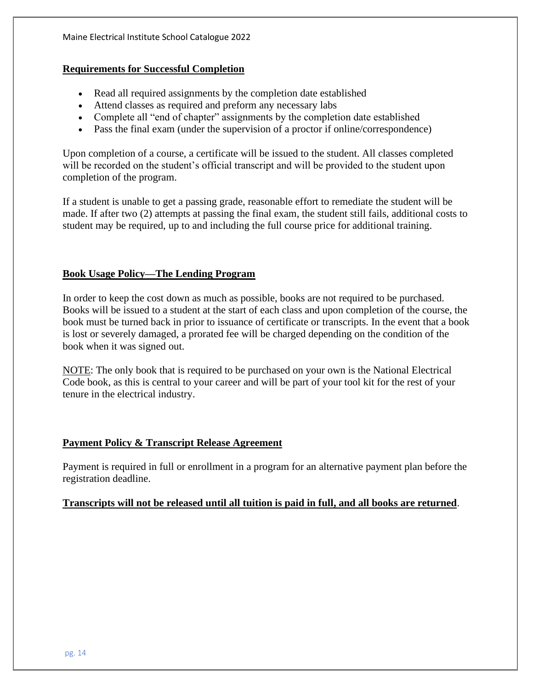## **Requirements for Successful Completion**

- Read all required assignments by the completion date established
- Attend classes as required and preform any necessary labs
- Complete all "end of chapter" assignments by the completion date established
- Pass the final exam (under the supervision of a proctor if online/correspondence)

Upon completion of a course, a certificate will be issued to the student. All classes completed will be recorded on the student's official transcript and will be provided to the student upon completion of the program.

If a student is unable to get a passing grade, reasonable effort to remediate the student will be made. If after two (2) attempts at passing the final exam, the student still fails, additional costs to student may be required, up to and including the full course price for additional training.

## **Book Usage Policy—The Lending Program**

In order to keep the cost down as much as possible, books are not required to be purchased. Books will be issued to a student at the start of each class and upon completion of the course, the book must be turned back in prior to issuance of certificate or transcripts. In the event that a book is lost or severely damaged, a prorated fee will be charged depending on the condition of the book when it was signed out.

NOTE: The only book that is required to be purchased on your own is the National Electrical Code book, as this is central to your career and will be part of your tool kit for the rest of your tenure in the electrical industry.

## **Payment Policy & Transcript Release Agreement**

Payment is required in full or enrollment in a program for an alternative payment plan before the registration deadline.

### **Transcripts will not be released until all tuition is paid in full, and all books are returned**.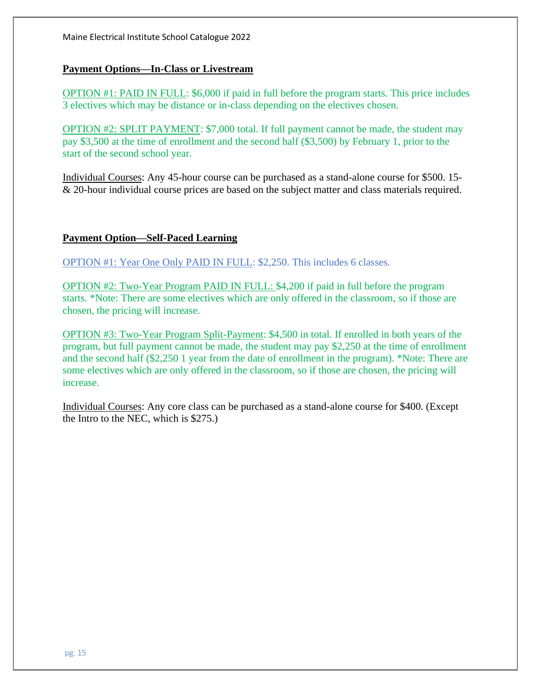Maine Electrical Institute School Catalogue 2022

### **Payment Options—In-Class or Livestream**

OPTION #1: PAID IN FULL: \$6,000 if paid in full before the program starts. This price includes 3 electives which may be distance or in-class depending on the electives chosen.

OPTION #2: SPLIT PAYMENT: \$7,000 total. If full payment cannot be made, the student may pay \$3,500 at the time of enrollment and the second half (\$3,500) by February 1, prior to the start of the second school year.

Individual Courses: Any 45-hour course can be purchased as a stand-alone course for \$500. 15- & 20-hour individual course prices are based on the subject matter and class materials required.

### **Payment Option—Self-Paced Learning**

OPTION #1: Year One Only PAID IN FULL: \$2,250. This includes 6 classes.

OPTION #2: Two-Year Program PAID IN FULL: \$4,200 if paid in full before the program starts. \*Note: There are some electives which are only offered in the classroom, so if those are chosen, the pricing will increase.

OPTION #3: Two-Year Program Split-Payment: \$4,500 in total. If enrolled in both years of the program, but full payment cannot be made, the student may pay \$2,250 at the time of enrollment and the second half (\$2,250 1 year from the date of enrollment in the program). \*Note: There are some electives which are only offered in the classroom, so if those are chosen, the pricing will increase.

Individual Courses: Any core class can be purchased as a stand-alone course for \$400. (Except the Intro to the NEC, which is \$275.)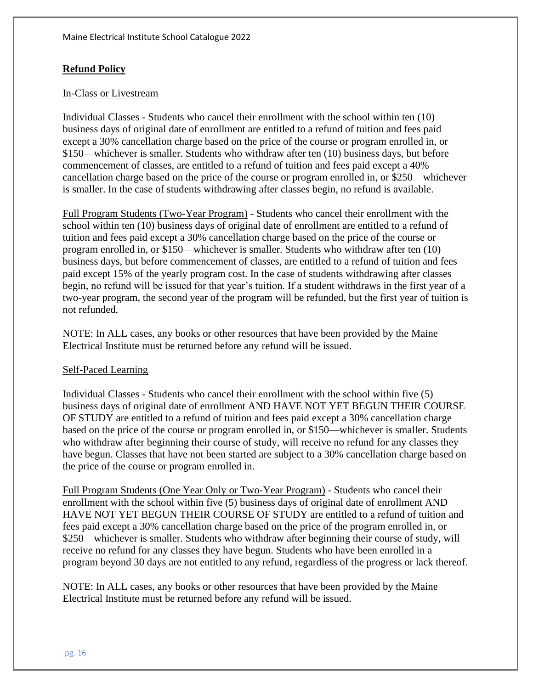## **Refund Policy**

## In-Class or Livestream

Individual Classes - Students who cancel their enrollment with the school within ten (10) business days of original date of enrollment are entitled to a refund of tuition and fees paid except a 30% cancellation charge based on the price of the course or program enrolled in, or \$150—whichever is smaller. Students who withdraw after ten (10) business days, but before commencement of classes, are entitled to a refund of tuition and fees paid except a 40% cancellation charge based on the price of the course or program enrolled in, or \$250—whichever is smaller. In the case of students withdrawing after classes begin, no refund is available.

Full Program Students (Two-Year Program) - Students who cancel their enrollment with the school within ten (10) business days of original date of enrollment are entitled to a refund of tuition and fees paid except a 30% cancellation charge based on the price of the course or program enrolled in, or \$150—whichever is smaller. Students who withdraw after ten (10) business days, but before commencement of classes, are entitled to a refund of tuition and fees paid except 15% of the yearly program cost. In the case of students withdrawing after classes begin, no refund will be issued for that year's tuition. If a student withdraws in the first year of a two-year program, the second year of the program will be refunded, but the first year of tuition is not refunded.

NOTE: In ALL cases, any books or other resources that have been provided by the Maine Electrical Institute must be returned before any refund will be issued.

### Self-Paced Learning

Individual Classes - Students who cancel their enrollment with the school within five (5) business days of original date of enrollment AND HAVE NOT YET BEGUN THEIR COURSE OF STUDY are entitled to a refund of tuition and fees paid except a 30% cancellation charge based on the price of the course or program enrolled in, or \$150—whichever is smaller. Students who withdraw after beginning their course of study, will receive no refund for any classes they have begun. Classes that have not been started are subject to a 30% cancellation charge based on the price of the course or program enrolled in.

Full Program Students (One Year Only or Two-Year Program) - Students who cancel their enrollment with the school within five (5) business days of original date of enrollment AND HAVE NOT YET BEGUN THEIR COURSE OF STUDY are entitled to a refund of tuition and fees paid except a 30% cancellation charge based on the price of the program enrolled in, or \$250—whichever is smaller. Students who withdraw after beginning their course of study, will receive no refund for any classes they have begun. Students who have been enrolled in a program beyond 30 days are not entitled to any refund, regardless of the progress or lack thereof.

NOTE: In ALL cases, any books or other resources that have been provided by the Maine Electrical Institute must be returned before any refund will be issued.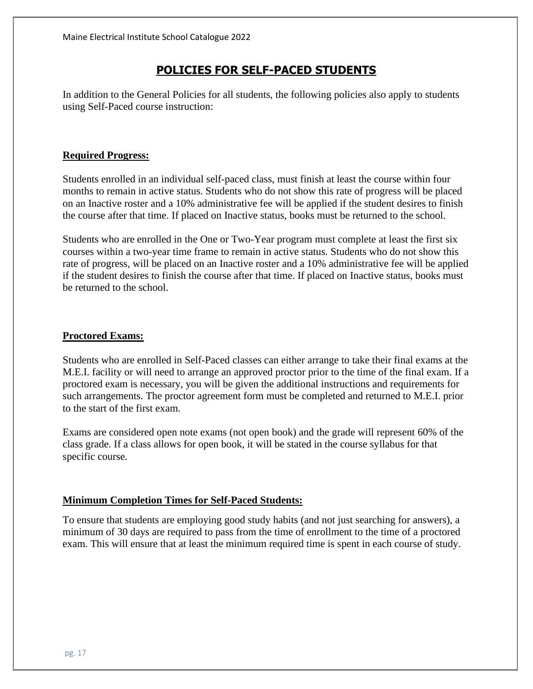## **POLICIES FOR SELF-PACED STUDENTS**

In addition to the General Policies for all students, the following policies also apply to students using Self-Paced course instruction:

## **Required Progress:**

Students enrolled in an individual self-paced class, must finish at least the course within four months to remain in active status. Students who do not show this rate of progress will be placed on an Inactive roster and a 10% administrative fee will be applied if the student desires to finish the course after that time. If placed on Inactive status, books must be returned to the school.

Students who are enrolled in the One or Two-Year program must complete at least the first six courses within a two-year time frame to remain in active status. Students who do not show this rate of progress, will be placed on an Inactive roster and a 10% administrative fee will be applied if the student desires to finish the course after that time. If placed on Inactive status, books must be returned to the school.

#### **Proctored Exams:**

Students who are enrolled in Self-Paced classes can either arrange to take their final exams at the M.E.I. facility or will need to arrange an approved proctor prior to the time of the final exam. If a proctored exam is necessary, you will be given the additional instructions and requirements for such arrangements. The proctor agreement form must be completed and returned to M.E.I. prior to the start of the first exam.

Exams are considered open note exams (not open book) and the grade will represent 60% of the class grade. If a class allows for open book, it will be stated in the course syllabus for that specific course.

### **Minimum Completion Times for Self-Paced Students:**

To ensure that students are employing good study habits (and not just searching for answers), a minimum of 30 days are required to pass from the time of enrollment to the time of a proctored exam. This will ensure that at least the minimum required time is spent in each course of study.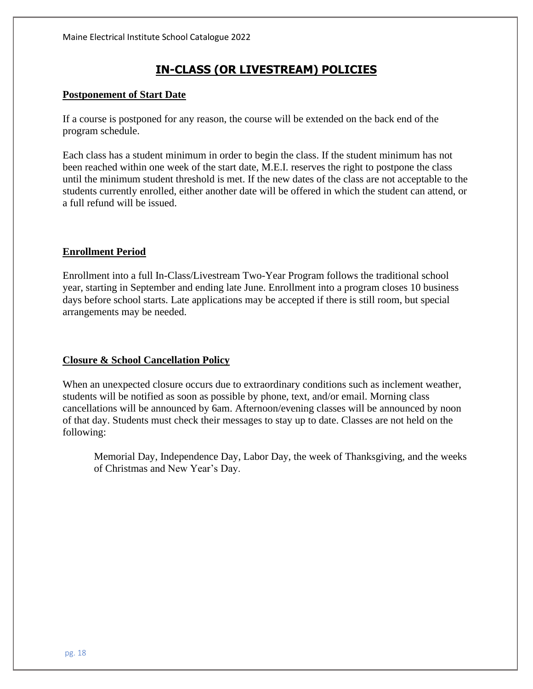## **IN-CLASS (OR LIVESTREAM) POLICIES**

#### **Postponement of Start Date**

If a course is postponed for any reason, the course will be extended on the back end of the program schedule.

Each class has a student minimum in order to begin the class. If the student minimum has not been reached within one week of the start date, M.E.I. reserves the right to postpone the class until the minimum student threshold is met. If the new dates of the class are not acceptable to the students currently enrolled, either another date will be offered in which the student can attend, or a full refund will be issued.

#### **Enrollment Period**

Enrollment into a full In-Class/Livestream Two-Year Program follows the traditional school year, starting in September and ending late June. Enrollment into a program closes 10 business days before school starts. Late applications may be accepted if there is still room, but special arrangements may be needed.

### **Closure & School Cancellation Policy**

When an unexpected closure occurs due to extraordinary conditions such as inclement weather, students will be notified as soon as possible by phone, text, and/or email. Morning class cancellations will be announced by 6am. Afternoon/evening classes will be announced by noon of that day. Students must check their messages to stay up to date. Classes are not held on the following:

Memorial Day, Independence Day, Labor Day, the week of Thanksgiving, and the weeks of Christmas and New Year's Day.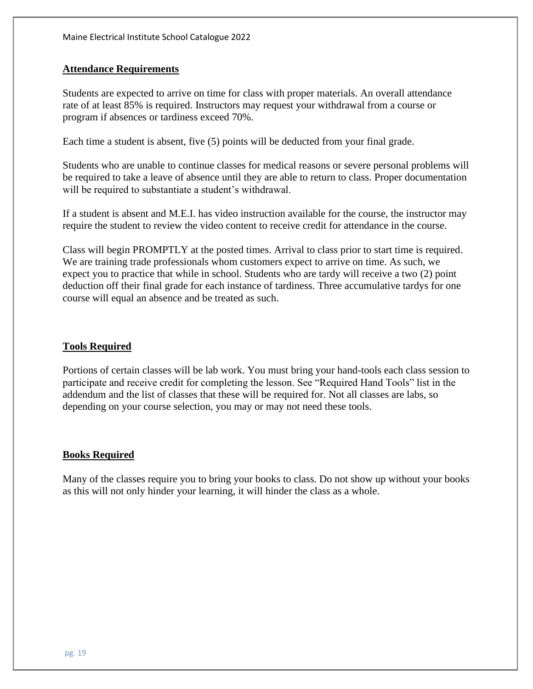#### **Attendance Requirements**

Students are expected to arrive on time for class with proper materials. An overall attendance rate of at least 85% is required. Instructors may request your withdrawal from a course or program if absences or tardiness exceed 70%.

Each time a student is absent, five (5) points will be deducted from your final grade.

Students who are unable to continue classes for medical reasons or severe personal problems will be required to take a leave of absence until they are able to return to class. Proper documentation will be required to substantiate a student's withdrawal.

If a student is absent and M.E.I. has video instruction available for the course, the instructor may require the student to review the video content to receive credit for attendance in the course.

Class will begin PROMPTLY at the posted times. Arrival to class prior to start time is required. We are training trade professionals whom customers expect to arrive on time. As such, we expect you to practice that while in school. Students who are tardy will receive a two (2) point deduction off their final grade for each instance of tardiness. Three accumulative tardys for one course will equal an absence and be treated as such.

#### **Tools Required**

Portions of certain classes will be lab work. You must bring your hand-tools each class session to participate and receive credit for completing the lesson. See "Required Hand Tools" list in the addendum and the list of classes that these will be required for. Not all classes are labs, so depending on your course selection, you may or may not need these tools.

#### **Books Required**

Many of the classes require you to bring your books to class. Do not show up without your books as this will not only hinder your learning, it will hinder the class as a whole.